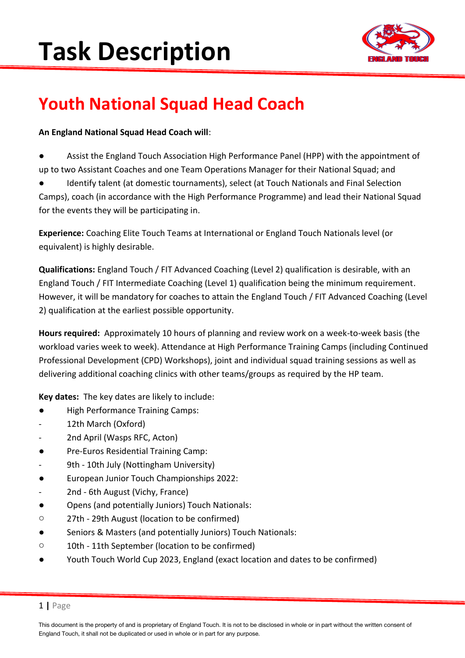

### **Youth National Squad Head Coach**

### **An England National Squad Head Coach will**:

- Assist the England Touch Association High Performance Panel (HPP) with the appointment of up to two Assistant Coaches and one Team Operations Manager for their National Squad; and
- Identify talent (at domestic tournaments), select (at Touch Nationals and Final Selection Camps), coach (in accordance with the High Performance Programme) and lead their National Squad for the events they will be participating in.

**Experience:** Coaching Elite Touch Teams at International or England Touch Nationals level (or equivalent) is highly desirable.

**Qualifications:** England Touch / FIT Advanced Coaching (Level 2) qualification is desirable, with an England Touch / FIT Intermediate Coaching (Level 1) qualification being the minimum requirement. However, it will be mandatory for coaches to attain the England Touch / FIT Advanced Coaching (Level 2) qualification at the earliest possible opportunity.

**Hours required:** Approximately 10 hours of planning and review work on a week-to-week basis (the workload varies week to week). Attendance at High Performance Training Camps (including Continued Professional Development (CPD) Workshops), joint and individual squad training sessions as well as delivering additional coaching clinics with other teams/groups as required by the HP team.

**Key dates:** The key dates are likely to include:

- **High Performance Training Camps:**
- 12th March (Oxford)
- 2nd April (Wasps RFC, Acton)
- Pre-Euros Residential Training Camp:
- 9th 10th July (Nottingham University)
- European Junior Touch Championships 2022:
- 2nd 6th August (Vichy, France)
- Opens (and potentially Juniors) Touch Nationals:
- o 27th 29th August (location to be confirmed)
- Seniors & Masters (and potentially Juniors) Touch Nationals:
- o 10th 11th September (location to be confirmed)
- Youth Touch World Cup 2023, England (exact location and dates to be confirmed)

### 1 **|** Page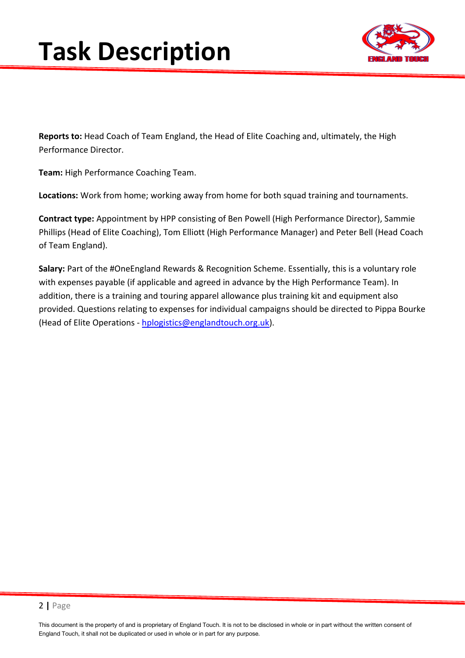

**Reports to:** Head Coach of Team England, the Head of Elite Coaching and, ultimately, the High Performance Director.

**Team:** High Performance Coaching Team.

**Locations:** Work from home; working away from home for both squad training and tournaments.

**Contract type:** Appointment by HPP consisting of Ben Powell (High Performance Director), Sammie Phillips (Head of Elite Coaching), Tom Elliott (High Performance Manager) and Peter Bell (Head Coach of Team England).

**Salary:** Part of the #OneEngland Rewards & Recognition Scheme. Essentially, this is a voluntary role with expenses payable (if applicable and agreed in advance by the High Performance Team). In addition, there is a training and touring apparel allowance plus training kit and equipment also provided. Questions relating to expenses for individual campaigns should be directed to Pippa Bourke (Head of Elite Operations - [hplogistics@englandtouch.org.uk\)](mailto:hplogistics@englandtouch.org.uk).

This document is the property of and is proprietary of England Touch. It is not to be disclosed in whole or in part without the written consent of England Touch, it shall not be duplicated or used in whole or in part for any purpose.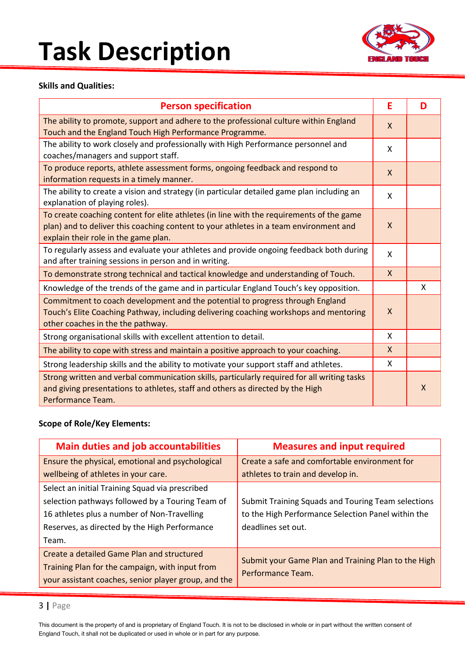

#### **Skills and Qualities:**

| <b>Person specification</b>                                                                                                                                                                                               | E            | D            |
|---------------------------------------------------------------------------------------------------------------------------------------------------------------------------------------------------------------------------|--------------|--------------|
| The ability to promote, support and adhere to the professional culture within England<br>Touch and the England Touch High Performance Programme.                                                                          | $\mathsf{X}$ |              |
| The ability to work closely and professionally with High Performance personnel and<br>coaches/managers and support staff.                                                                                                 | X            |              |
| To produce reports, athlete assessment forms, ongoing feedback and respond to<br>information requests in a timely manner.                                                                                                 | X            |              |
| The ability to create a vision and strategy (in particular detailed game plan including an<br>explanation of playing roles).                                                                                              | X            |              |
| To create coaching content for elite athletes (in line with the requirements of the game<br>plan) and to deliver this coaching content to your athletes in a team environment and<br>explain their role in the game plan. | $\mathsf{X}$ |              |
| To regularly assess and evaluate your athletes and provide ongoing feedback both during<br>and after training sessions in person and in writing.                                                                          | X            |              |
| To demonstrate strong technical and tactical knowledge and understanding of Touch.                                                                                                                                        | $\mathsf{X}$ |              |
| Knowledge of the trends of the game and in particular England Touch's key opposition.                                                                                                                                     |              | X            |
| Commitment to coach development and the potential to progress through England<br>Touch's Elite Coaching Pathway, including delivering coaching workshops and mentoring<br>other coaches in the the pathway.               | X            |              |
| Strong organisational skills with excellent attention to detail.                                                                                                                                                          | X            |              |
| The ability to cope with stress and maintain a positive approach to your coaching.                                                                                                                                        | X            |              |
| Strong leadership skills and the ability to motivate your support staff and athletes.                                                                                                                                     | X            |              |
| Strong written and verbal communication skills, particularly required for all writing tasks<br>and giving presentations to athletes, staff and others as directed by the High<br>Performance Team.                        |              | $\mathsf{X}$ |

#### **Scope of Role/Key Elements:**

| <b>Main duties and job accountabilities</b>                                                                                                                                                                  | <b>Measures and input required</b>                                                                                             |
|--------------------------------------------------------------------------------------------------------------------------------------------------------------------------------------------------------------|--------------------------------------------------------------------------------------------------------------------------------|
| Ensure the physical, emotional and psychological<br>wellbeing of athletes in your care.                                                                                                                      | Create a safe and comfortable environment for<br>athletes to train and develop in.                                             |
| Select an initial Training Squad via prescribed<br>selection pathways followed by a Touring Team of<br>16 athletes plus a number of Non-Travelling<br>Reserves, as directed by the High Performance<br>Team. | Submit Training Squads and Touring Team selections<br>to the High Performance Selection Panel within the<br>deadlines set out. |
| Create a detailed Game Plan and structured<br>Training Plan for the campaign, with input from<br>your assistant coaches, senior player group, and the                                                        | Submit your Game Plan and Training Plan to the High<br>Performance Team.                                                       |

### 3 **|** Page

This document is the property of and is proprietary of England Touch. It is not to be disclosed in whole or in part without the written consent of England Touch, it shall not be duplicated or used in whole or in part for any purpose.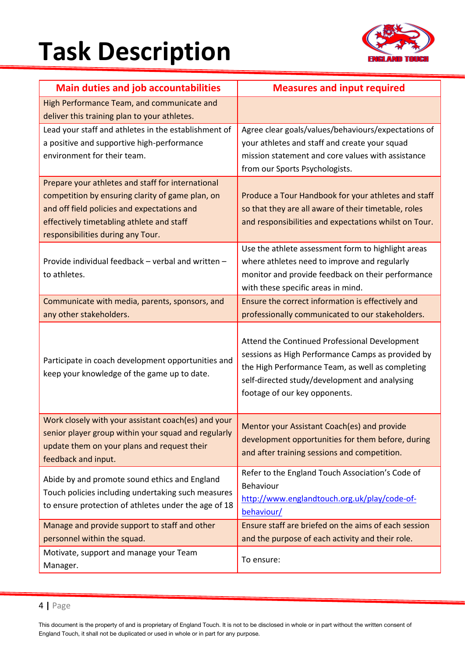

| <b>Main duties and job accountabilities</b>                                                                                                                                                                                            | <b>Measures and input required</b>                                                                                                                                                                                                       |
|----------------------------------------------------------------------------------------------------------------------------------------------------------------------------------------------------------------------------------------|------------------------------------------------------------------------------------------------------------------------------------------------------------------------------------------------------------------------------------------|
| High Performance Team, and communicate and<br>deliver this training plan to your athletes.                                                                                                                                             |                                                                                                                                                                                                                                          |
| Lead your staff and athletes in the establishment of<br>a positive and supportive high-performance<br>environment for their team.                                                                                                      | Agree clear goals/values/behaviours/expectations of<br>your athletes and staff and create your squad<br>mission statement and core values with assistance<br>from our Sports Psychologists.                                              |
| Prepare your athletes and staff for international<br>competition by ensuring clarity of game plan, on<br>and off field policies and expectations and<br>effectively timetabling athlete and staff<br>responsibilities during any Tour. | Produce a Tour Handbook for your athletes and staff<br>so that they are all aware of their timetable, roles<br>and responsibilities and expectations whilst on Tour.                                                                     |
| Provide individual feedback - verbal and written -<br>to athletes.                                                                                                                                                                     | Use the athlete assessment form to highlight areas<br>where athletes need to improve and regularly<br>monitor and provide feedback on their performance<br>with these specific areas in mind.                                            |
| Communicate with media, parents, sponsors, and<br>any other stakeholders.                                                                                                                                                              | Ensure the correct information is effectively and<br>professionally communicated to our stakeholders.                                                                                                                                    |
| Participate in coach development opportunities and<br>keep your knowledge of the game up to date.                                                                                                                                      | Attend the Continued Professional Development<br>sessions as High Performance Camps as provided by<br>the High Performance Team, as well as completing<br>self-directed study/development and analysing<br>footage of our key opponents. |
| Work closely with your assistant coach(es) and your<br>senior player group within your squad and regularly<br>update them on your plans and request their<br>feedback and input.                                                       | Mentor your Assistant Coach(es) and provide<br>development opportunities for them before, during<br>and after training sessions and competition.                                                                                         |
| Abide by and promote sound ethics and England<br>Touch policies including undertaking such measures<br>to ensure protection of athletes under the age of 18                                                                            | Refer to the England Touch Association's Code of<br>Behaviour<br>http://www.englandtouch.org.uk/play/code-of-<br>behaviour/                                                                                                              |
| Manage and provide support to staff and other<br>personnel within the squad.                                                                                                                                                           | Ensure staff are briefed on the aims of each session<br>and the purpose of each activity and their role.                                                                                                                                 |
| Motivate, support and manage your Team<br>Manager.                                                                                                                                                                                     | To ensure:                                                                                                                                                                                                                               |

<sup>4</sup> **|** Page

This document is the property of and is proprietary of England Touch. It is not to be disclosed in whole or in part without the written consent of England Touch, it shall not be duplicated or used in whole or in part for any purpose.